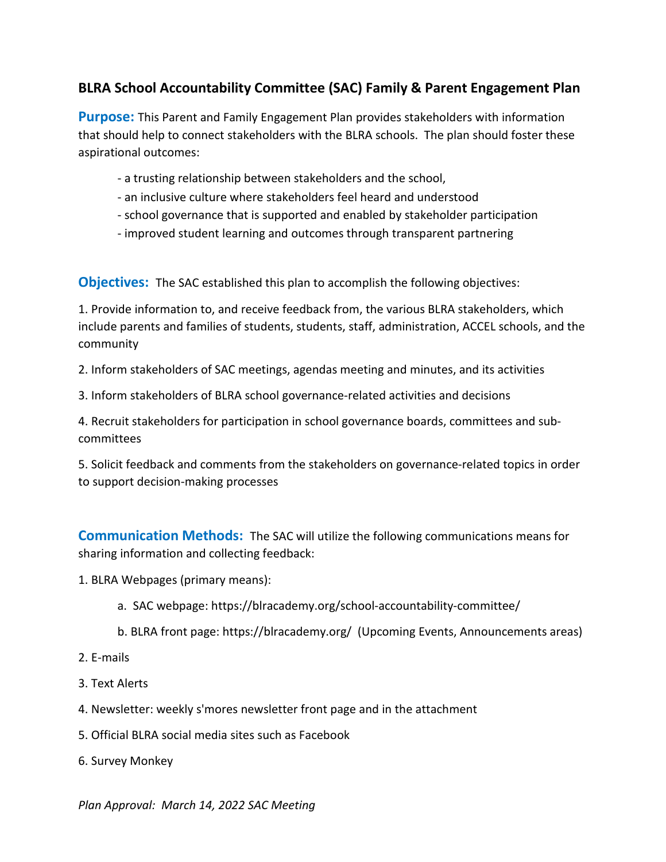## **BLRA School Accountability Committee (SAC) Family & Parent Engagement Plan**

**Purpose:** This Parent and Family Engagement Plan provides stakeholders with information that should help to connect stakeholders with the BLRA schools. The plan should foster these aspirational outcomes:

- a trusting relationship between stakeholders and the school,
- an inclusive culture where stakeholders feel heard and understood
- school governance that is supported and enabled by stakeholder participation
- improved student learning and outcomes through transparent partnering

**Objectives:** The SAC established this plan to accomplish the following objectives:

1. Provide information to, and receive feedback from, the various BLRA stakeholders, which include parents and families of students, students, staff, administration, ACCEL schools, and the community

2. Inform stakeholders of SAC meetings, agendas meeting and minutes, and its activities

3. Inform stakeholders of BLRA school governance-related activities and decisions

4. Recruit stakeholders for participation in school governance boards, committees and subcommittees

5. Solicit feedback and comments from the stakeholders on governance-related topics in order to support decision-making processes

**Communication Methods:** The SAC will utilize the following communications means for sharing information and collecting feedback:

- 1. BLRA Webpages (primary means):
	- a. SAC webpage: https://blracademy.org/school-accountability-committee/
	- b. BLRA front page: https://blracademy.org/ (Upcoming Events, Announcements areas)
- 2. E-mails
- 3. Text Alerts
- 4. Newsletter: weekly s'mores newsletter front page and in the attachment
- 5. Official BLRA social media sites such as Facebook
- 6. Survey Monkey

*Plan Approval: March 14, 2022 SAC Meeting*